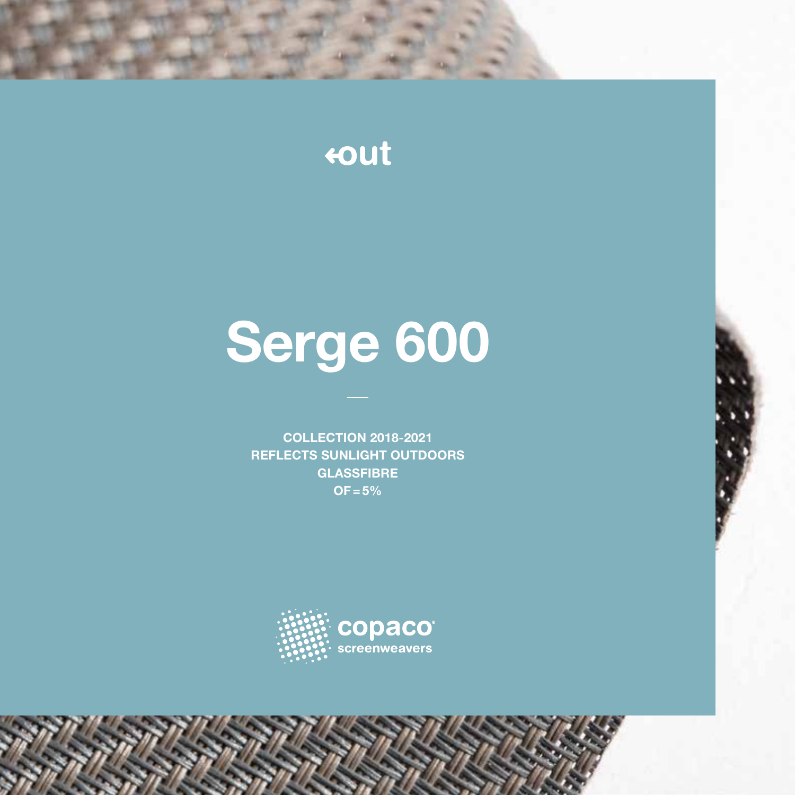## tout

# Serge 600

COLLECTION 2018-2021 REFLECTS SUNLIGHT OUTDOORS **GLASSFIBRE**  $OF = 5%$ 

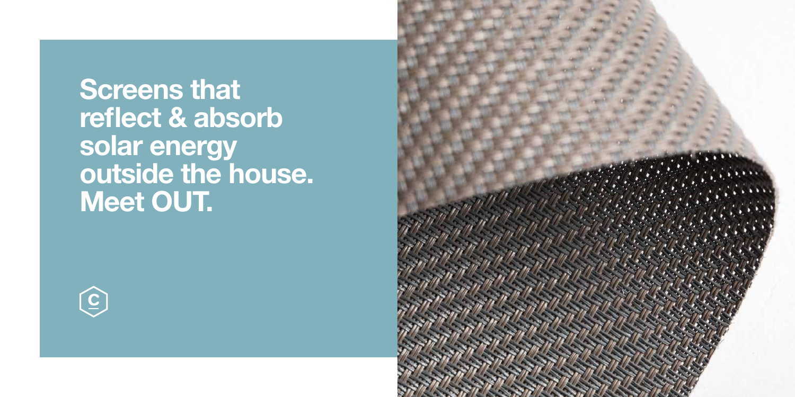Screens that reflect & absorb solar energy outside the house. Meet OUT.



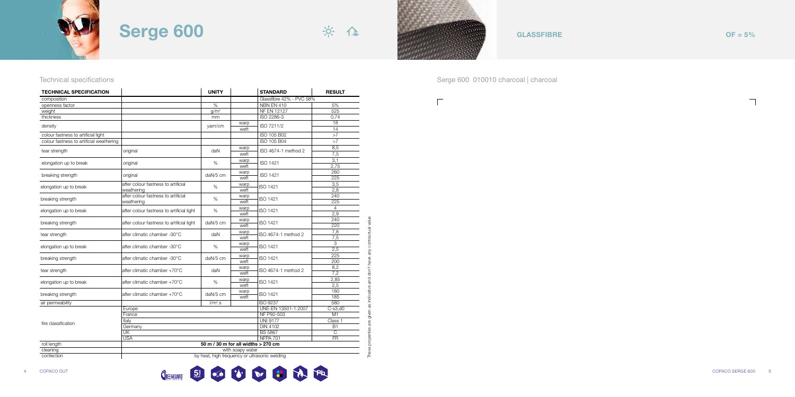

 $\Gamma$ 

### Technical specifications **Serge 600 010010** charcoal | charcoal



These properties are given as indicative and don't have any contractual value



 $\Box$ 

| <b>TECHNICAL SPECIFICATION</b>           |                                           | <b>UNITY</b>                        |                  | <b>STANDARD</b>                               | <b>RESULT</b>   |
|------------------------------------------|-------------------------------------------|-------------------------------------|------------------|-----------------------------------------------|-----------------|
| composition                              |                                           |                                     |                  | Glassfibre 42% - PVC 58%                      |                 |
| openness factor                          |                                           | $\frac{9}{6}$                       |                  | <b>NBN EN 410</b>                             | 5%              |
| weight                                   |                                           | q/m <sup>2</sup>                    |                  | <b>NF EN 12127</b>                            | 525             |
| thickness                                |                                           | mm                                  |                  | ISO 2286-3                                    | 0,74            |
| density                                  |                                           |                                     | warp             | ISO 7211/2                                    | $\overline{18}$ |
|                                          |                                           | yarn/cm                             | weft             |                                               | 14              |
| colour fastness to artificial light      |                                           |                                     |                  | ISO 105 B02                                   | >7              |
| colour fastness to artificial weathering |                                           |                                     |                  | ISO 105 B04                                   | >7              |
| tear strength                            | original                                  | daN                                 | warp             | ISO 4674-1 method 2                           | 8,5             |
|                                          |                                           |                                     | weft             |                                               | 7,5             |
| elongation up to break                   | original                                  | %                                   | warp             | ISO 1421                                      | 3,1             |
|                                          |                                           |                                     | weft             |                                               | 2,75            |
| breaking strength                        | original                                  | daN/5 cm                            | warp             | <b>ISO 1421</b>                               | 260             |
|                                          |                                           |                                     | weft             |                                               | 225             |
| elongation up to break                   | after colour fastness to artificial       | %                                   | warp             | <b>ISO 1421</b>                               | 3,5             |
|                                          | weathering                                |                                     | weft             |                                               | 2,8             |
| breaking strength                        | after colour fastness to artificial       | %                                   | warp             | ISO 1421                                      | 240             |
|                                          | weathering                                |                                     | weft             |                                               | 225             |
| elongation up to break                   | after colour fastness to artificial light | %                                   | warp             | ISO 1421                                      | 4               |
|                                          |                                           |                                     | weft             |                                               | 2,9             |
| breaking strength                        | after colour fastness to artificial light | daN/5 cm                            | warp             | ISO 1421                                      | 240             |
|                                          |                                           |                                     | weft             |                                               | 220             |
| tear strength                            | after climatic chamber -30°C              | daN                                 | warp             | ISO 4674-1 method 2                           | 7,8             |
|                                          |                                           |                                     | weft             |                                               | 7,5             |
| elongation up to break                   | after climatic chamber -30°C              | %                                   | warp             | ISO 1421                                      | 3               |
|                                          |                                           |                                     | weft             |                                               | 2,5             |
| breaking strength                        | after climatic chamber -30°C              | daN/5 cm                            | warp             | ISO 1421                                      | 225             |
|                                          |                                           |                                     | weft             |                                               | 200<br>8,2      |
| tear strength                            | after climatic chamber +70°C              | daN                                 | warp             | ISO 4674-1 method 2                           |                 |
|                                          |                                           |                                     | weft             |                                               | 7,2             |
| elongation up to break                   | after climatic chamber +70°C              | %                                   | warp<br>weft     | ISO 1421                                      | 2,85<br>2,5     |
|                                          |                                           |                                     | warp             |                                               | 180             |
| breaking strength                        | after climatic chamber +70°C              | daN/5 cm                            | weft             | ISO 1421                                      | 185             |
| air permeability                         |                                           | $l/m2$ .s                           |                  | <b>ISO 9237</b>                               | 580             |
|                                          | Europe                                    |                                     |                  | UNE-EN 13501-1:2007                           | $C-s3, d0$      |
|                                          | France                                    |                                     |                  | NF P92-503                                    | M1              |
|                                          | Italy                                     |                                     |                  | <b>UNI 9177</b>                               | Class 1         |
| fire classification                      | Germany                                   |                                     |                  | <b>DIN 4102</b>                               | <b>B1</b>       |
|                                          | UK                                        |                                     |                  | <b>BS 5867</b>                                | C               |
|                                          | <b>USA</b>                                |                                     |                  | <b>NFPA 701</b>                               | $\overline{FR}$ |
| roll length                              |                                           | 50 m / 30 m for all widths > 270 cm |                  |                                               |                 |
| cleaning                                 |                                           |                                     | with soapy water |                                               |                 |
| confection                               |                                           |                                     |                  | by heat, high frequency or ultrasonic welding |                 |
|                                          |                                           |                                     |                  |                                               |                 |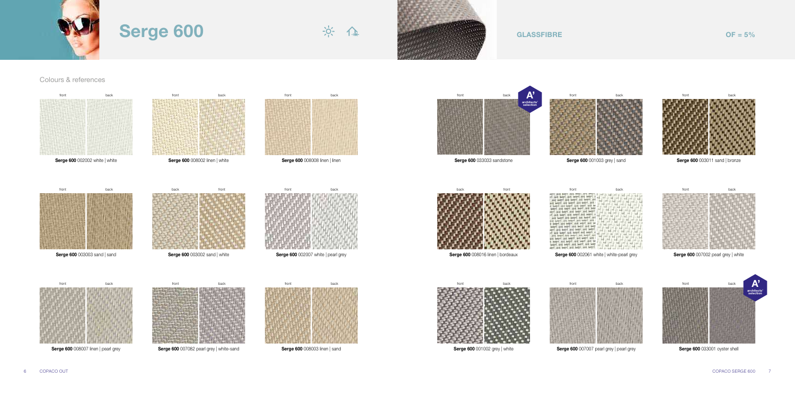### Colours & references







**Serge 600 002002 white | white** 



**Serge 600 008002 linen | white** 



Serge 600 008008 linen | linen



back front

**Serge 600 003002 sand | white** 

front back



Serge 600 003011 sand | bronze







Serge 600 007007 pearl grey | pearl grey front back





Serge 600 008007 linen | pearl grey

Serge 600 007082 pearl grey | white-sand



front back architects' selection A'

Serge 600 033001 oyster shell



**Serge 600 008003 linen | sand** 









Serge 600 002061 white | white-pearl grey



front back

Serge 600 007002 pearl grey | white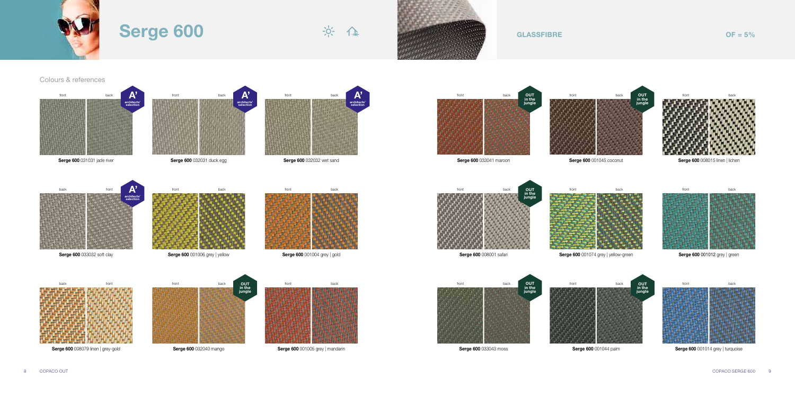





Serge 600 032032 wet sand

front back

Serge 600 001006 grey | yellow

Serge 600 001004 grey | gold





**Serge 600 033032 soft clay** 





**Serge 600 032031 duck egg** 





Serge 600 001005 grey | mandarin





Serge 600 001074 grey | yellow-green



Serge 600 001014 grey | turquoise



Serge 600 032040 mango

front back OUT in the jungle









front back

Serge 600 001012 grey | green



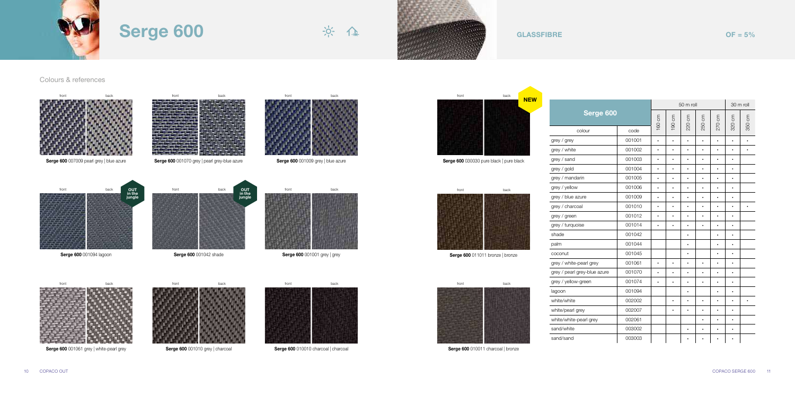### Colours & references





|                              |        |           |           | 30 m roll |           |           |           |           |
|------------------------------|--------|-----------|-----------|-----------|-----------|-----------|-----------|-----------|
| Serge 600                    |        | 160 cm    | m<br>190  | m<br>220  | m         | m<br>270  | m<br>320  | 350 cm    |
| colour                       | code   |           |           |           | 250       |           |           |           |
| grey / grey                  | 001001 | $\bullet$ | $\bullet$ | $\bullet$ | $\bullet$ | $\bullet$ | $\bullet$ | $\bullet$ |
| grey / white                 | 001002 |           |           |           | $\bullet$ | $\bullet$ | $\bullet$ | ٠         |
| grey / sand                  | 001003 |           |           |           | $\bullet$ |           | $\bullet$ |           |
| grey / gold                  | 001004 | ٠         |           | ٠         | ٠         |           | ٠         |           |
| grey / mandarin              | 001005 |           |           | ۰         | $\bullet$ |           | $\bullet$ |           |
| grey / yellow                | 001006 | $\bullet$ |           |           |           | $\bullet$ |           |           |
| grey / blue azure            | 001009 |           |           | $\bullet$ | $\bullet$ |           | $\bullet$ |           |
| grey / charcoal              | 001010 | $\bullet$ | $\bullet$ | $\bullet$ | $\bullet$ | $\bullet$ | $\bullet$ | $\bullet$ |
| grey / green                 | 001012 |           |           |           | $\bullet$ | $\bullet$ | $\bullet$ |           |
| grey / turquoise             | 001014 | $\bullet$ |           | $\bullet$ | $\bullet$ | $\bullet$ | $\bullet$ |           |
| shade                        | 001042 |           |           |           |           | $\bullet$ | $\bullet$ |           |
| palm                         | 001044 |           |           |           |           |           | $\bullet$ |           |
| coconut                      | 001045 |           |           |           |           | $\bullet$ | $\bullet$ |           |
| grey / white-pearl grey      | 001061 |           |           | $\bullet$ | $\bullet$ |           | $\bullet$ |           |
| grey / pearl grey-blue azure | 001070 |           |           | ۰         | $\bullet$ | $\bullet$ | ۰         |           |
| grey / yellow-green          | 001074 | $\bullet$ |           |           | $\bullet$ | $\bullet$ | $\bullet$ |           |
| lagoon                       | 001094 |           |           | $\bullet$ |           | $\bullet$ | $\bullet$ |           |
| white/white                  | 002002 |           |           |           | $\bullet$ |           | $\bullet$ | $\bullet$ |
| white/pearl grey             | 002007 |           |           | $\bullet$ | $\bullet$ | $\bullet$ | $\bullet$ |           |
| white/white-pearl grey       | 002061 |           |           |           | $\bullet$ | $\bullet$ | $\bullet$ |           |
| sand/white                   | 003002 |           |           |           | ٠         |           | $\bullet$ |           |
| sand/sand                    | 003003 |           |           |           |           |           |           |           |



Serge 600 001010 grey | charcoal



Serge 600 010010 charcoal | charcoal

Serge 600 010011 charcoal | bronze

Serge 600 001061 grey | white-pearl grey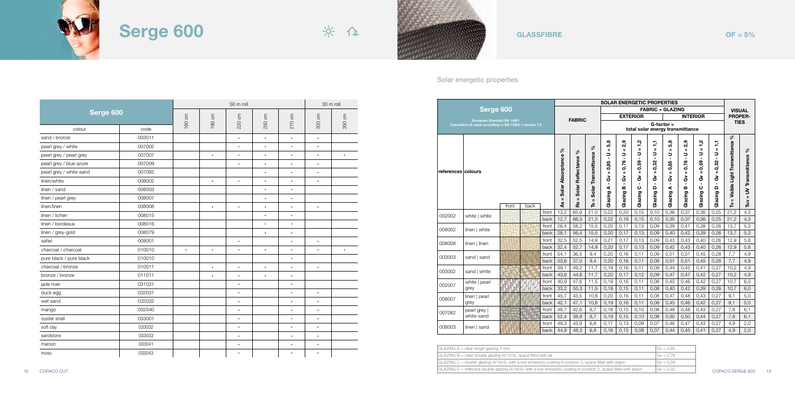



### Solar energetic properties

|                    | Serge 600                                               |       |      |               |                                         |                                         | <b>SOLAR ENERGETIC PROPERTIES</b>                        |                                                                                                |                                                                                   |                                                                                                           |                                                                                                           |                                                                                            |                                                                                                            |                                                                                                                  |                                                                                                             |                                     |                             |  |
|--------------------|---------------------------------------------------------|-------|------|---------------|-----------------------------------------|-----------------------------------------|----------------------------------------------------------|------------------------------------------------------------------------------------------------|-----------------------------------------------------------------------------------|-----------------------------------------------------------------------------------------------------------|-----------------------------------------------------------------------------------------------------------|--------------------------------------------------------------------------------------------|------------------------------------------------------------------------------------------------------------|------------------------------------------------------------------------------------------------------------------|-------------------------------------------------------------------------------------------------------------|-------------------------------------|-----------------------------|--|
|                    |                                                         |       |      |               |                                         |                                         |                                                          |                                                                                                | <b>FABRIC + GLAZING</b>                                                           |                                                                                                           |                                                                                                           |                                                                                            |                                                                                                            |                                                                                                                  | <b>VISUAL</b>                                                                                               |                                     |                             |  |
|                    | <b>European Standard EN 14501</b>                       |       |      |               |                                         | <b>FABRIC</b>                           |                                                          |                                                                                                |                                                                                   | <b>EXTERIOR</b>                                                                                           |                                                                                                           |                                                                                            |                                                                                                            | <b>INTERIOR</b>                                                                                                  |                                                                                                             |                                     | <b>PROPER-</b>              |  |
|                    | Calculation G-value according to EN 13363-1 version 7.0 |       |      |               |                                         |                                         |                                                          |                                                                                                |                                                                                   |                                                                                                           | $G$ -factor =<br>total solar energy transmittance                                                         |                                                                                            |                                                                                                            |                                                                                                                  |                                                                                                             |                                     | <b>TIES</b>                 |  |
| references colours |                                                         |       |      |               | వ్<br>Solar Absorptance<br>$\mathbf{I}$ | వ్<br>Solar Reflectance<br>$\mathbf{u}$ | ళ<br>Transmittance<br>Solar <sup>-</sup><br>$\mathbf{u}$ | 5,8<br>$\mathbf{u}$<br>っ<br>$\blacksquare$<br>0,85<br>ш<br>ఠ<br>$\blacksquare$<br>⋖<br>Glazing | 2,9<br>Ш<br>∍<br>$\blacksquare$<br>0,76<br>Ш<br>ఠ<br>$\mathbf{r}$<br>m<br>Glazing | 1,2<br>$\mathbf{u}$<br>っ<br>$\blacksquare$<br>0,59<br>$\mathbf{I}$<br>ఠ<br>$\blacksquare$<br>ပ<br>Glazing | ÷,<br>$\mathbf{u}$<br>っ<br>$\blacksquare$<br>0,32<br>$\mathbf{u}$<br>යි<br>$\blacksquare$<br>Ο<br>Glazing | 5,8<br>$\mathbf{u}$<br>∍<br>$\mathbf{r}$<br>0,85<br>$\mathbf{u}$<br>ఠ<br>٠<br>⋖<br>Glazing | 2,9<br>$\mathbf{u}$<br>∍<br>$\blacksquare$<br>0,76<br>$\mathbf{u}$<br>శ్<br>$\blacksquare$<br>m<br>Glazing | 1,2<br>$\mathbf{I}$<br>っ<br>$\blacksquare$<br>0,59<br>$\mathbf{u}$<br>යි<br>$\blacksquare$<br>$\circ$<br>Glazing | F<br>$\mathbf{H}$<br>∍<br>$\mathbf{r}$<br>0,32<br>$\mathbf{u}$<br>යි<br>$\mathbf{r}$<br>$\Omega$<br>Glazing | వ్<br>= Visible Light Transmittance | = UV Transmittance %<br>Γùν |  |
|                    |                                                         | front | back |               | 4                                       | å.                                      | ല്                                                       |                                                                                                |                                                                                   |                                                                                                           |                                                                                                           |                                                                                            |                                                                                                            |                                                                                                                  |                                                                                                             | ≧                                   |                             |  |
| 002002             | white   white                                           |       |      | front         | 13,2                                    | 65,9                                    | 21,0                                                     | 0,22                                                                                           | 0,20                                                                              | 0,15                                                                                                      | 0,10                                                                                                      | 0,36                                                                                       | 0,37                                                                                                       | 0,36                                                                                                             | 0,25                                                                                                        | 21.2                                | 4,3                         |  |
|                    |                                                         |       |      | back          | 12,7                                    | 66,3                                    | 21,0                                                     | 0,22                                                                                           | 0,19                                                                              | 0,15                                                                                                      | 0, 10                                                                                                     | 0,35                                                                                       | 0,37                                                                                                       | 0,36                                                                                                             | 0,25                                                                                                        | 21,2                                | 4,3                         |  |
| 008002             | linen   white                                           |       |      | front<br>back | 26,4<br>28,1                            | 58.2<br>56,4                            | 15,5<br>15,5                                             | 0.20<br>0,20                                                                                   | 0,17<br>0,17                                                                      | 0,13<br>0,13                                                                                              | 0,09<br>0,09                                                                                              | 0,39<br>0,40                                                                               | 0,41<br>0,42                                                                                               | 0,38<br>0,39                                                                                                     | 0.26<br>0,26                                                                                                | 13,7<br>13,7                        | 5,3<br>5,3                  |  |
|                    |                                                         |       |      | front         | 32,5                                    | 52,5                                    | 14,9                                                     | 0.21                                                                                           | 0.17                                                                              | 0,13                                                                                                      | 0,09                                                                                                      | 0,43                                                                                       | 0.43                                                                                                       | 0,40                                                                                                             | 0,26                                                                                                        | 12,9                                | 5,8                         |  |
| 008008             | linen   linen                                           |       |      | back          | 32,4                                    | 52,7                                    | 14,9                                                     | 0,20                                                                                           | 0,17                                                                              | 0,13                                                                                                      | 0,09                                                                                                      | 0,42                                                                                       | 0,43                                                                                                       | 0,40                                                                                                             | 0,26                                                                                                        | 12,9                                | 5,8                         |  |
|                    |                                                         |       |      | front         | 54,1                                    | 36,5                                    | 9,4                                                      | 0,20                                                                                           | 0,16                                                                              | 0,11                                                                                                      | 0,09                                                                                                      | 0,51                                                                                       | 0,51                                                                                                       | 0,45                                                                                                             | 0,28                                                                                                        | 7,7                                 | 4,9                         |  |
| 003003             | sand   sand                                             |       |      | back          | 53,6                                    | 37,0                                    | 9.4                                                      | 0,20                                                                                           | 0,16                                                                              | 0,11                                                                                                      | 0,08                                                                                                      | 0,51                                                                                       | 0.51                                                                                                       | 0,45                                                                                                             | 0,28                                                                                                        | 7,7                                 | 4,9                         |  |
|                    |                                                         |       |      | front         | 39,1                                    | 49,2                                    | 11.7                                                     | 0.19                                                                                           | 0.16                                                                              | 0,11                                                                                                      | 0,08                                                                                                      | 0,44                                                                                       | 0.45                                                                                                       | 0,41                                                                                                             | 0.27                                                                                                        | 10,2                                | 4,9                         |  |
| 003002             | sand   white                                            |       |      | back          | 43,6                                    | 44,6                                    | 11,7                                                     | 0,20                                                                                           | 0,17                                                                              | 0,12                                                                                                      | 0,09                                                                                                      | 0,47                                                                                       | 0,47                                                                                                       | 0,42                                                                                                             | 0,27                                                                                                        | 10,2                                | 4,9                         |  |
| 002007             | white   pearl                                           |       |      | front         | 40,9                                    | 47,6                                    | 11,5                                                     | 0,19                                                                                           | 0,16                                                                              | 0,11                                                                                                      | 0,08                                                                                                      | 0,45                                                                                       | 0,46                                                                                                       | 0,42                                                                                                             | 0,27                                                                                                        | 10,7                                | 6,0                         |  |
|                    | grey                                                    |       |      | back          | 33,2                                    | 55,3                                    | 11,5                                                     | 0,18                                                                                           | 0, 15                                                                             | 0,11                                                                                                      | 0,08                                                                                                      | 0,40                                                                                       | 0.42                                                                                                       | 0,39                                                                                                             | 0,26                                                                                                        | 10,7                                | 6,0                         |  |
| 008007             | linen   pearl                                           |       |      | front         | 45,7                                    | 43,5                                    | 10,8                                                     | 0,20                                                                                           | 0, 16                                                                             | 0,11                                                                                                      | 0,08                                                                                                      | 0,47                                                                                       | 0,48                                                                                                       | 0,43                                                                                                             | 0,27                                                                                                        | 9,1                                 | 5,0                         |  |
|                    | grey                                                    |       |      | back          | 42,1                                    | 47,1                                    | 10,8                                                     | 0,19                                                                                           | 0,16                                                                              | 0,11                                                                                                      | 0,08                                                                                                      | 0,45                                                                                       | 0,46                                                                                                       | 0,42                                                                                                             | 0,27                                                                                                        | 9,1                                 | 5,0                         |  |
| 007082             | pearl grey                                              |       |      | front         | 48,7                                    | 42,6                                    | 8,7                                                      | 0,18                                                                                           | 0,15                                                                              | 0,10                                                                                                      | 0,08                                                                                                      | 0,48                                                                                       | 0,48                                                                                                       | 0,43                                                                                                             | 0,27                                                                                                        | 7,8                                 | 6,1                         |  |
|                    | white-sand                                              | ticts |      | back          | 52,4                                    | 38,9                                    | 8,7                                                      | 0,19                                                                                           | 0,15                                                                              | 0,10                                                                                                      | 0,08                                                                                                      | 0,50                                                                                       | 0,50                                                                                                       | 0,44                                                                                                             | 0,27                                                                                                        | 7,8                                 | 6,1                         |  |
| 008003             | $linen$ sand                                            |       |      | front         | 49,3                                    | 43,9                                    | 6,8                                                      | 0,17                                                                                           | 0,13                                                                              | 0,09                                                                                                      | 0,07                                                                                                      | 0,46                                                                                       | 0,47                                                                                                       | 0,43                                                                                                             | 0,27                                                                                                        | 4,9                                 | 2,0                         |  |
|                    |                                                         |       |      | back          | 44,9                                    | 48,3                                    | 6.8                                                      | 0,16                                                                                           | 0,13                                                                              | 0,08                                                                                                      | 0,07                                                                                                      | 0.44                                                                                       | 0.45                                                                                                       | 0,41                                                                                                             | 0,27                                                                                                        | 4.9                                 | 2,0                         |  |

| maroon     | J33041 |  |                                                                                                                                                |  |
|------------|--------|--|------------------------------------------------------------------------------------------------------------------------------------------------|--|
|            |        |  | GLAZING A = clear single glazing 4 mm                                                                                                          |  |
| moss       | 033043 |  | $GLAZING B = clear$ double glazing $(4/12/4)$ , space filled with air                                                                          |  |
|            |        |  | GLAZING C = double glazing (4/16/4), with a low emissivity coating in position 3, space filled with argon                                      |  |
| COPACO OUT |        |  | $\vert$ GLAZING D = reflective double glazing (4/16/4), with a low emissivity coating in position 2, space filled with argon $\vert$ Gv = 0,32 |  |

|                         |        |           |           |                               |           | 30 m roll            |                      |                 |  |
|-------------------------|--------|-----------|-----------|-------------------------------|-----------|----------------------|----------------------|-----------------|--|
| Serge 600               |        | 160 cm    | 190 cm    | $\mathop{\mathsf{cm}}$<br>220 | m<br>250  | $\epsilon$<br>270    | $\epsilon$<br>320    | $\rm cm$<br>350 |  |
| colour                  | code   |           |           |                               |           |                      |                      |                 |  |
| sand / bronze           | 003011 |           |           | $\bullet$                     | $\bullet$ | $\bullet$            | $\bullet$            |                 |  |
| pearl grey / white      | 007002 |           |           |                               | $\bullet$ | $\bullet$            | $\bullet$            |                 |  |
| pearl grey / pearl grey | 007007 |           | $\bullet$ | $\bullet$                     | $\bullet$ | $\bullet$            | $\bullet$            | ٠               |  |
| pearl grey / blue azure | 007009 |           |           | $\bullet$                     | $\bullet$ | $\bullet$            | $\bullet$            |                 |  |
| pearl grey / white-sand | 007082 |           |           |                               | $\bullet$ | $\cdot$              | $\ddot{\phantom{0}}$ |                 |  |
| linen/white             | 008002 |           | $\bullet$ | $\bullet$                     | $\bullet$ | $\bullet$            | $\bullet$            |                 |  |
| linen / sand            | 008003 |           |           |                               | $\bullet$ | $\bullet$            |                      |                 |  |
| linen / pearl grey      | 008007 |           |           |                               | $\bullet$ | $\bullet$            |                      |                 |  |
| linen/linen             | 008008 |           | $\bullet$ | $\bullet$                     | $\bullet$ | $\bullet$            | $\bullet$            |                 |  |
| linen / lichen          | 008015 |           |           |                               | $\bullet$ | $\bullet$            |                      |                 |  |
| linen / bordeaux        | 008016 |           |           |                               | $\bullet$ | $\ddot{\phantom{0}}$ |                      |                 |  |
| linen / grey-gold       | 008079 |           |           |                               | $\bullet$ | $\bullet$            |                      |                 |  |
| safari                  | 008001 |           |           | $\bullet$                     |           | $\bullet$            | $\bullet$            |                 |  |
| charcoal / charcoal     | 010010 | $\bullet$ | $\bullet$ | $\bullet$                     | $\bullet$ | $\bullet$            | $\bullet$            | $\bullet$       |  |
| pure black / pure black | 010010 |           |           |                               |           | $\bullet$            |                      |                 |  |
| charcoal / bronze       | 010011 |           | $\bullet$ | $\bullet$                     | $\bullet$ | $\bullet$            | $\bullet$            |                 |  |
| bronze / bronze         | 011011 |           | $\bullet$ | $\bullet$                     | $\bullet$ | $\bullet$            |                      |                 |  |
| jade river              | 031031 |           |           | $\bullet$                     |           | $\bullet$            |                      |                 |  |
| duck egg                | 032031 |           |           | $\bullet$                     |           | $\bullet$            | $\bullet$            |                 |  |
| wet sand                | 032032 |           |           | $\bullet$                     |           | $\bullet$            | $\bullet$            |                 |  |
| mango                   | 032040 |           |           | $\bullet$                     |           | $\bullet$            | $\bullet$            |                 |  |
| oyster shell            | 033001 |           |           | $\bullet$                     |           | $\bullet$            | $\bullet$            |                 |  |
| soft clay               | 033032 |           |           | $\bullet$                     |           | $\bullet$            | $\bullet$            |                 |  |
| sandstone               | 033033 |           |           | $\bullet$                     |           | $\bullet$            | $\bullet$            |                 |  |
| maroon                  |        |           | $\bullet$ |                               | $\bullet$ | $\ddot{\phantom{0}}$ |                      |                 |  |
| moss                    |        |           | ٠         |                               | ٠         |                      |                      |                 |  |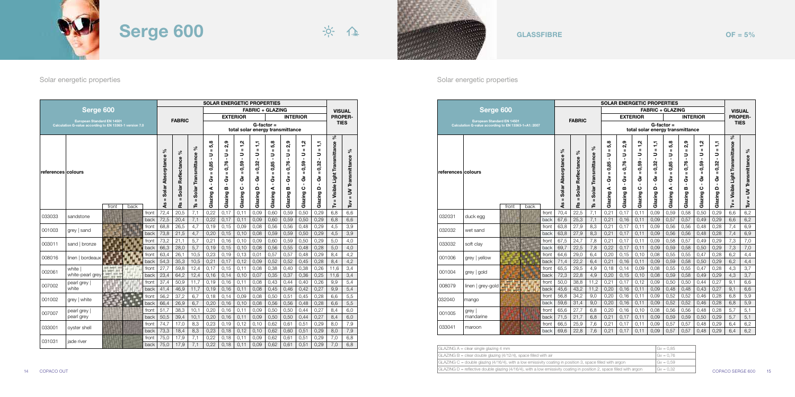|            | $GLAZING A = clear single glazing 4 mm$                                                                                                        |                  |
|------------|------------------------------------------------------------------------------------------------------------------------------------------------|------------------|
|            | $GLAZING B = clear double glazing (4/12/4), space filled with air$                                                                             |                  |
|            | $GLAZING C =$ double glazing (4/16/4), with a low emissivity coating in position 3, space filled with argon                                    |                  |
| COPACO OUT | $\vert$ GLAZING D = reflective double glazing (4/16/4), with a low emissivity coating in position 2, space filled with argon $\vert$ Gv = 0,32 | COPACO SERGE 600 |





| GLAZING A = clear single glazing 4 mm                                                                                  | $ Gv = 0.85$ |
|------------------------------------------------------------------------------------------------------------------------|--------------|
| $GLAZING B = clear$ double glazing (4/12/4), space filled with air                                                     | $Gv = 0.76$  |
| $GLAZING C =$ double glazing (4/16/4), with a low emissivity coating in position 3, space filled with argon            | $ Gv = 0.59$ |
| $GLAZING D$ = reflective double glazing (4/16/4), with a low emissivity coating in position 2, space filled with argon | $ Gv = 0.32$ |

### Solar energetic properties Solar energetic properties Solar energetic properties Solar energetic properties

|                    | Serge 600                                            |       |      |       |                                               | <b>SOLAR ENERGETIC PROPERTIES</b><br><b>FABRIC + GLAZING</b> |                                                                  |                                                                                                 |                                                                                                 |                                                                                                                   |                                                                                                        |                                                                                                                               |                                                                                         |                                                                                                 |                                                                                                    |                                                        |                                            |
|--------------------|------------------------------------------------------|-------|------|-------|-----------------------------------------------|--------------------------------------------------------------|------------------------------------------------------------------|-------------------------------------------------------------------------------------------------|-------------------------------------------------------------------------------------------------|-------------------------------------------------------------------------------------------------------------------|--------------------------------------------------------------------------------------------------------|-------------------------------------------------------------------------------------------------------------------------------|-----------------------------------------------------------------------------------------|-------------------------------------------------------------------------------------------------|----------------------------------------------------------------------------------------------------|--------------------------------------------------------|--------------------------------------------|
|                    |                                                      |       |      |       |                                               |                                                              |                                                                  |                                                                                                 |                                                                                                 |                                                                                                                   |                                                                                                        |                                                                                                                               |                                                                                         |                                                                                                 |                                                                                                    |                                                        | <b>VISUAL</b>                              |
|                    | <b>European Standard EN 14501</b>                    |       |      |       |                                               | <b>FABRIC</b>                                                |                                                                  |                                                                                                 | <b>EXTERIOR</b>                                                                                 |                                                                                                                   |                                                                                                        |                                                                                                                               |                                                                                         | <b>INTERIOR</b>                                                                                 |                                                                                                    | <b>PROPER-</b>                                         |                                            |
|                    | Calculation G-value according to EN 13363-1+A1: 2007 |       |      |       |                                               |                                                              |                                                                  |                                                                                                 |                                                                                                 |                                                                                                                   | total solar energy transmittance                                                                       | $G$ -factor =                                                                                                                 |                                                                                         |                                                                                                 |                                                                                                    |                                                        | <b>TIES</b>                                |
| references colours |                                                      | front | back |       | వ్<br>Solar Absorptance<br>$\mathbf{u}$<br>٩s | వ<br>Solar Reflectance<br>$\mathbf{u}$<br>œ.                 | వ్<br>Transmittance<br>Solar <sup>-</sup><br>$\mathbf{u}$<br>مِّ | 5,8<br>$\mathbf{u}$<br>∍<br>$\blacksquare$<br>0,85<br>ш<br>යි<br>$\blacksquare$<br>⋖<br>Glazing | 2,9<br>ш<br>∍<br>$\blacksquare$<br>0,76<br>$\mathbf{u}$<br>శ్<br>$\blacksquare$<br>m<br>Glazing | $\ddot{a}$<br>$\mathbf{u}$<br>っ<br>$\blacksquare$<br>0,59<br>$\mathbf{u}$<br>යි<br>$\blacksquare$<br>ပ<br>Glazing | ÷<br>$\mathbf{u}$<br>∍<br>$\mathbf{r}$<br>0,32<br>$\mathbf{u}$<br>යි<br>$\blacksquare$<br>۵<br>Glazing | 5,8<br>$\mathbf{u}$<br>っ<br>$\blacksquare$<br>0,85<br>$\mathbf{u}$<br>යි<br>$\blacksquare$<br>$\blacktriangleleft$<br>Glazing | 2,9<br>$\mathbf{u}$<br>っ<br>$\blacksquare$<br>0,76<br>$\mathbf{u}$<br>ఠ<br>m<br>Glazing | $\ddot{a}$<br>$\mathbf{u}$<br>っ<br>$\blacksquare$<br>0,59<br>$\mathbf{u}$<br>යි<br>ပ<br>Glazing | 두<br>$\mathbf{u}$<br>$\Rightarrow$<br>$\blacksquare$<br>0,32<br>$\mathbf{u}$<br>යි<br>۵<br>Glazing | వ్<br>Visible Light Transmittance<br>$\mathbf{u}$<br>È | వ<br>UV Transmittance<br>$\mathbf{H}$<br>È |
|                    |                                                      |       |      | front | 70,4                                          | 22,5                                                         | 7,1                                                              | 0.21                                                                                            | 0.17                                                                                            | 0,11                                                                                                              | 0,09                                                                                                   | 0.59                                                                                                                          | 0.58                                                                                    | 0.50                                                                                            | 0.29                                                                                               | 6.6                                                    | 6,2                                        |
| 032031             | duck egg                                             |       |      | back  | 67,6                                          | 25,3                                                         | 7,1                                                              | 0,21                                                                                            | 0, 16                                                                                           | 0,11                                                                                                              | 0,09                                                                                                   | 0.57                                                                                                                          | 0,57                                                                                    | 0,49                                                                                            | 0.29                                                                                               | 6,6                                                    | 6,2                                        |
|                    |                                                      |       |      | front | 63,8                                          | 27,9                                                         | 8,3                                                              | 0,21                                                                                            | 0,17                                                                                            | 0,11                                                                                                              | 0,09                                                                                                   | 0,56                                                                                                                          | 0,56                                                                                    | 0,48                                                                                            | 0,28                                                                                               | 7,4                                                    | 6,9                                        |
| 032032             | wet sand                                             |       |      | back  | 63,8                                          | 27,9                                                         | 8,3                                                              | 0,21                                                                                            | 0,17                                                                                            | 0,11                                                                                                              | 0.09                                                                                                   | 0,56                                                                                                                          | 0,56                                                                                    | 0,48                                                                                            | 0,28                                                                                               | 7,4                                                    | 6,9                                        |
| 033032             | soft clay                                            |       |      | front | 67,5                                          | 24,7                                                         | 7,8                                                              | 0,21                                                                                            | 0,17                                                                                            | 0,11                                                                                                              | 0,09                                                                                                   | 0,58                                                                                                                          | 0,57                                                                                    | 0,49                                                                                            | 0,29                                                                                               | 7,3                                                    | 7,0                                        |
|                    |                                                      |       |      | back  | 69.7                                          | 22,5                                                         | 7,8                                                              | 0,22                                                                                            | 0,17                                                                                            | 0,11                                                                                                              | 0,09                                                                                                   | 0,59                                                                                                                          | 0.58                                                                                    | 0,50                                                                                            | 0.29                                                                                               | 7,3                                                    | 7,0                                        |
| 001006             | grey   yellow                                        |       |      | front | 64,6                                          | 29,0                                                         | 6,4                                                              | 0,20                                                                                            | 0, 15                                                                                           | 0,10                                                                                                              | 0,08                                                                                                   | 0,55                                                                                                                          | 0,55                                                                                    | 0,47                                                                                            | 0,28                                                                                               | 6,2                                                    | 4,4                                        |
|                    |                                                      |       |      | back  | 71,4                                          | 22,2                                                         | 6.4                                                              | 0.21                                                                                            | 0.16                                                                                            | 0.11                                                                                                              | 0.09                                                                                                   | 0.59                                                                                                                          | 0.58                                                                                    | 0.50                                                                                            | 0.29                                                                                               | 6.2                                                    | 4,4                                        |
| 001004             | grey   gold                                          |       |      | front | 65,5                                          | 29,5                                                         | 4,9                                                              | 0,18                                                                                            | 0,14                                                                                            | 0,09                                                                                                              | 0,08                                                                                                   | 0,55                                                                                                                          | 0,55                                                                                    | 0,47                                                                                            | 0,28                                                                                               | 4,3                                                    | 3,7                                        |
|                    |                                                      |       |      | back  | 72,3                                          | 22,8                                                         | 4,9                                                              | 0,20                                                                                            | 0, 15                                                                                           | 0,10                                                                                                              | 0,08                                                                                                   | 0,59                                                                                                                          | 0,58                                                                                    | 0.49                                                                                            | 0.29                                                                                               | 4,3                                                    | 3,7                                        |
| 008079             | linen   grey-gold                                    |       |      | front | 50,0                                          | 38,8                                                         | 11,2                                                             | 0,21                                                                                            | 0,17                                                                                            | 0, 12                                                                                                             | 0,09                                                                                                   | 0,50                                                                                                                          | 0,50                                                                                    | 0,44                                                                                            | 0,27                                                                                               | 9,1                                                    | 6,6                                        |
|                    |                                                      |       |      | back  | 45,6                                          | 43,2                                                         | 11,2                                                             | 0,20                                                                                            | 0, 16                                                                                           | 0,11                                                                                                              | 0,09                                                                                                   | 0,48                                                                                                                          | 0,48                                                                                    | 0,43                                                                                            | 0,27                                                                                               | 9,1                                                    | 6,6                                        |
| 032040             | mango                                                |       |      | front | 56,8                                          | 34,2                                                         | 9,0                                                              | 0,20                                                                                            | 0,16                                                                                            | 0,11                                                                                                              | 0,09                                                                                                   | 0,52                                                                                                                          | 0,52                                                                                    | 0,46                                                                                            | 0,28                                                                                               | 6,8                                                    | 5,9                                        |
|                    |                                                      |       |      | back  | 59,6                                          | 31,4                                                         | 9,0                                                              | 0,20                                                                                            | 0, 16                                                                                           | 0,11                                                                                                              | 0,09                                                                                                   | 0,52                                                                                                                          | 0,52                                                                                    | 0,46                                                                                            | 0,28                                                                                               | 6,8                                                    | 5,9                                        |
| 001005             | grey                                                 |       |      | front | 65,6                                          | 27,7                                                         | 6,8                                                              | 0,20                                                                                            | 0,16                                                                                            | 0,10                                                                                                              | 0,08                                                                                                   | 0,56                                                                                                                          | 0,56                                                                                    | 0,48                                                                                            | 0,28                                                                                               | 5,7                                                    | 5,1                                        |
|                    | mandarine                                            |       |      | back  | 71,5                                          | 21,7                                                         | 6,8                                                              | 0,21                                                                                            | 0,17                                                                                            | 0,11                                                                                                              | 0,09                                                                                                   | 0,59                                                                                                                          | 0,59                                                                                    | 0,50                                                                                            | 0,29                                                                                               | 5,7                                                    | 5,1                                        |
| 033041             | maroon                                               |       |      | front | 66,5                                          | 25,9                                                         | 7,6                                                              | 0,21<br>0.21                                                                                    | 0,17<br>0.17                                                                                    | 0,11<br>0.11                                                                                                      | 0,09<br>0.09                                                                                           | 0,57                                                                                                                          | 0,57                                                                                    | 0,48<br>0.48                                                                                    | 0,29<br>0.29                                                                                       | 6,4<br>6.4                                             | 6,2                                        |
|                    |                                                      |       |      | back  | 69,6                                          | 22,8                                                         | 7,6                                                              |                                                                                                 |                                                                                                 |                                                                                                                   |                                                                                                        | 0,57                                                                                                                          | 0,57                                                                                    |                                                                                                 |                                                                                                    |                                                        | 6,2                                        |

|                    |                            |                                                         |       | <b>SOLAR ENERGETIC PROPERTIES</b>                 |                                                       |                                                 |                                                                                                          |                                                                                                          |                                                                                                                 |                                                                                              |                                                                                                           |                                                                                                           |                                                                                                           |                                                                                                               |                                                        |                                             |
|--------------------|----------------------------|---------------------------------------------------------|-------|---------------------------------------------------|-------------------------------------------------------|-------------------------------------------------|----------------------------------------------------------------------------------------------------------|----------------------------------------------------------------------------------------------------------|-----------------------------------------------------------------------------------------------------------------|----------------------------------------------------------------------------------------------|-----------------------------------------------------------------------------------------------------------|-----------------------------------------------------------------------------------------------------------|-----------------------------------------------------------------------------------------------------------|---------------------------------------------------------------------------------------------------------------|--------------------------------------------------------|---------------------------------------------|
|                    | Serge 600                  |                                                         |       |                                                   |                                                       |                                                 |                                                                                                          |                                                                                                          |                                                                                                                 | <b>FABRIC + GLAZING</b>                                                                      |                                                                                                           |                                                                                                           |                                                                                                           |                                                                                                               | <b>VISUAL</b>                                          |                                             |
|                    |                            |                                                         |       |                                                   | <b>FABRIC</b>                                         |                                                 |                                                                                                          | <b>EXTERIOR</b>                                                                                          |                                                                                                                 |                                                                                              |                                                                                                           | <b>INTERIOR</b>                                                                                           |                                                                                                           |                                                                                                               | <b>PROPER-</b>                                         |                                             |
|                    | European Standard EN 14501 | Calculation G-value according to EN 13363-1 version 7.0 |       |                                                   |                                                       |                                                 |                                                                                                          |                                                                                                          |                                                                                                                 | total solar energy transmittance                                                             | $G$ -factor =                                                                                             |                                                                                                           |                                                                                                           |                                                                                                               | <b>TIES</b>                                            |                                             |
| references colours |                            | front<br>back                                           |       | వ్<br>Solar Absorptance<br>$\mathbf{u}$<br>S<br>∢ | వ్<br>Reflectance<br>Solar<br>$\mathbf{u}$<br>S)<br>œ | వ్<br>Solar Transmittance<br>$\mathbf{I}$<br>مِ | 5,8<br>$\mathbf{u}$<br>っ<br>$\mathbf{r}$<br>0,85<br>$\mathbf{u}$<br>යි<br>$\blacksquare$<br>⋖<br>Glazing | 2,9<br>$\mathbf{u}$<br>コ<br>$\mathbf{r}$<br>0,76<br>$\mathbf{u}$<br>යි<br>$\blacksquare$<br>m<br>Glazing | $\ddot{a}$<br>$\mathbf{u}$<br>∍<br>$\blacksquare$<br>0,59<br>$\mathbf{u}$<br>යි<br>$\mathbf{r}$<br>ပ<br>Glazing | ÷<br>$\mathbf{u}$<br>⊃<br>$\blacksquare$<br>0,32<br>Ш<br>ఠ<br>$\blacksquare$<br>Δ<br>Glazing | 5,8<br>$\mathbf{u}$<br>コ<br>$\blacksquare$<br>0,85<br>$\mathbf{u}$<br>ఠ<br>$\blacksquare$<br>⋖<br>Glazing | 2,9<br>$\mathbf{u}$<br>っ<br>$\blacksquare$<br>0,76<br>$\mathbf{u}$<br>ఠ<br>$\blacksquare$<br>m<br>Glazing | 5,<br>$\mathbf{I}$<br>っ<br>$\blacksquare$<br>0,59<br>$\mathbf{u}$<br>යි<br>$\blacksquare$<br>ပ<br>Glazing | ÷<br>$\mathbf{u}$<br>∍<br>$\blacksquare$<br>0,32<br>$\mathbf{u}$<br>යි<br>$\mathbf{r}$<br>$\Omega$<br>Glazing | వ్<br>Visible Light Transmittance<br>$\mathbf{u}$<br>≧ | వ్<br>UV Transmittance<br>$\mathbf{I}$<br>Ě |
| 033033             | sandstone                  |                                                         | front | 72,4                                              | 20,5                                                  | 7,1                                             | 0,22                                                                                                     | 0,17                                                                                                     | 0,11                                                                                                            | 0,09                                                                                         | 0,60                                                                                                      | 0,59                                                                                                      | 0,50                                                                                                      | 0,29                                                                                                          | 6,8                                                    | 6,6                                         |
|                    |                            |                                                         | back  | 72,5                                              | 20,4                                                  | 7,1                                             | 0,22                                                                                                     | 0,17                                                                                                     | 0.11                                                                                                            | 0,09                                                                                         | 0,60                                                                                                      | 0,59                                                                                                      | 0.50                                                                                                      | 0,29                                                                                                          | 6,8                                                    | 6,6                                         |
| 001003             | grey   sand                |                                                         | front | 68,8                                              | 26,5                                                  | 4,7                                             | 0,19                                                                                                     | 0, 15                                                                                                    | 0,09                                                                                                            | 0,08                                                                                         | 0,56                                                                                                      | 0,56                                                                                                      | 0,48                                                                                                      | 0,29                                                                                                          | 4,5                                                    | 3,9                                         |
|                    |                            |                                                         | back  | 73,8                                              | 21,5                                                  | 4,7                                             | 0,20                                                                                                     | 0,15                                                                                                     | 0,10                                                                                                            | 0,08                                                                                         | 0,59                                                                                                      | 0,59                                                                                                      | 0,50                                                                                                      | 0,29                                                                                                          | 4,5                                                    | 3,9                                         |
| 003011             | sand   bronze              |                                                         | front | 73,2                                              | 21,1                                                  | 5,7                                             | 0,21                                                                                                     | 0,16                                                                                                     | 0,10                                                                                                            | 0,09                                                                                         | 0.60                                                                                                      | 0,59                                                                                                      | 0,50                                                                                                      | 0,29                                                                                                          | 5,0                                                    | 4,0                                         |
|                    |                            |                                                         | back  | 66,3                                              | 28,0                                                  | 5,7                                             | 0,19                                                                                                     | 0,15                                                                                                     | 0,10                                                                                                            | 0,08                                                                                         | 0,56                                                                                                      | 0,55                                                                                                      | 0,48                                                                                                      | 0,28                                                                                                          | 5,0                                                    | 4,0                                         |
| 008016             | linen   bordeaux           |                                                         | front | 63,4                                              | 26,1                                                  | 10,5                                            | 0,23                                                                                                     | 0,19                                                                                                     | 0,13                                                                                                            | 0.01                                                                                         | 0,57                                                                                                      | 0,57                                                                                                      | 0.48                                                                                                      | 0,29                                                                                                          | 8,4                                                    | 4,2                                         |
|                    |                            |                                                         | back  | 54,3                                              | 35,3                                                  | 10,5                                            | 0,21                                                                                                     | 0,17                                                                                                     | 0,12                                                                                                            | 0,09                                                                                         | 0,52                                                                                                      | 0.52                                                                                                      | 0,45                                                                                                      | 0,28                                                                                                          | 8,4                                                    | 4,2                                         |
| 002061             | white I                    | September                                               | front | 27,7                                              | 59,8                                                  | 12,4                                            | 0,17                                                                                                     | 0, 15                                                                                                    | 0,11                                                                                                            | 0,08                                                                                         | 0,38                                                                                                      | 0,40                                                                                                      | 0,38                                                                                                      | 0,26                                                                                                          | 11,6                                                   | 3,4                                         |
|                    | white-pearl grey           | 191814                                                  | back  | 23,4                                              | 64,2                                                  | 12,4                                            | 0,16                                                                                                     | 0,14                                                                                                     | 0,10                                                                                                            | 0,07                                                                                         | 0,35                                                                                                      | 0,37                                                                                                      | 0,36                                                                                                      | 0,25                                                                                                          | 11,6                                                   | 3,4                                         |
| 007002             | pearl grey                 |                                                         | front | 37,4                                              | 50,9                                                  | 11,7                                            | 0,19                                                                                                     | 0,16                                                                                                     | 0,11                                                                                                            | 0,08                                                                                         | 0,43                                                                                                      | 0,44                                                                                                      | 0,40                                                                                                      | 0,26                                                                                                          | 9,9                                                    | 5,4                                         |
|                    | white                      |                                                         | back  | 41,4                                              | 46,9                                                  | 11,7                                            | 0,19                                                                                                     | 0,16                                                                                                     | 0,11                                                                                                            | 0,08                                                                                         | 0,45                                                                                                      | 0,46                                                                                                      | 0,42                                                                                                      | 0,27                                                                                                          | 9,9                                                    | 5,4                                         |
| 001002             | grey   white               |                                                         | front | 56,2                                              | 37,2                                                  | 6,7                                             | 0,18                                                                                                     | 0,14                                                                                                     | 0.09                                                                                                            | 0,08                                                                                         | 0,50                                                                                                      | 0,51                                                                                                      | 0,45                                                                                                      | 0,28                                                                                                          | 6.6                                                    | 5,5                                         |
|                    |                            |                                                         | back  | 66,4                                              | 26.9                                                  | 6,7                                             | 0,20                                                                                                     | 0,16                                                                                                     | 0,10                                                                                                            | 0,08                                                                                         | 0,56                                                                                                      | 0,56                                                                                                      | 0,48                                                                                                      | 0,28                                                                                                          | 6,6                                                    | 5,5                                         |
| 007007             | pearl grey                 |                                                         | front | 51,7                                              | 38,3                                                  | 10,1                                            | 0,20                                                                                                     | 0,16                                                                                                     | 0,11                                                                                                            | 0,09                                                                                         | 0,50                                                                                                      | 0,50                                                                                                      | 0,44                                                                                                      | 0,27                                                                                                          | 8,4                                                    | 6,0                                         |
|                    | pearl grey                 |                                                         | back  | 50,5                                              | 39,4                                                  | 10,1                                            | 0,20                                                                                                     | 0,16                                                                                                     | 0,11                                                                                                            | 0,09                                                                                         | 0,50                                                                                                      | 0,50                                                                                                      | 0.44                                                                                                      | 0,27                                                                                                          | 8.4                                                    | 6,0                                         |
| 033001             | oyster shell               |                                                         | front | 74,7                                              | 17,0                                                  | 8,3                                             | 0,23                                                                                                     | 0,19                                                                                                     | 0,12                                                                                                            | 0,10                                                                                         | 0.62                                                                                                      | 0,61                                                                                                      | 0,51                                                                                                      | 0,29                                                                                                          | 8,0                                                    | 7,9                                         |
|                    |                            |                                                         | back  | 73,3                                              | 18,4                                                  | 8,3                                             | 0,23                                                                                                     | 0,18                                                                                                     | 0,12                                                                                                            | 0.10                                                                                         | 0.62                                                                                                      | 0,60                                                                                                      | 0,51                                                                                                      | 0,29                                                                                                          | 8,0                                                    | 7,9                                         |
| 031031             | jade river                 |                                                         | front | 75,0                                              | 17,9                                                  | 7,1                                             | 0,22                                                                                                     | 0,18                                                                                                     | 0,11                                                                                                            | 0,09                                                                                         | 0,62                                                                                                      | 0,61                                                                                                      | 0,51                                                                                                      | 0,29                                                                                                          | 7,0                                                    | 6,8                                         |
|                    |                            | back                                                    |       |                                                   | 17,9                                                  | 7,1                                             | 0,22                                                                                                     | 0,18                                                                                                     | 0,11                                                                                                            | 0,09                                                                                         | 0,62                                                                                                      | 0,61                                                                                                      | 0,51                                                                                                      | 0,29                                                                                                          | 7,0                                                    | 6,8                                         |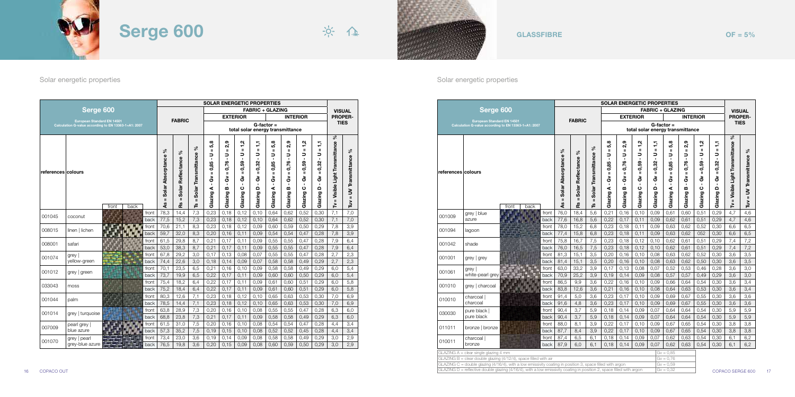|                    |                                         |                                                      | <b>SOLAR ENERGETIC PROPERTIES</b><br><b>FABRIC + GLAZING</b> |                                               |                                                  |                                                                                          |                                                                                                                                |                                                                                                                             |                                                                                             |                                                                                                            |                                                                                                |                                                                                          |                                                                                                                 |                                                        |                                             |  |
|--------------------|-----------------------------------------|------------------------------------------------------|--------------------------------------------------------------|-----------------------------------------------|--------------------------------------------------|------------------------------------------------------------------------------------------|--------------------------------------------------------------------------------------------------------------------------------|-----------------------------------------------------------------------------------------------------------------------------|---------------------------------------------------------------------------------------------|------------------------------------------------------------------------------------------------------------|------------------------------------------------------------------------------------------------|------------------------------------------------------------------------------------------|-----------------------------------------------------------------------------------------------------------------|--------------------------------------------------------|---------------------------------------------|--|
|                    | Serge 600                               |                                                      |                                                              |                                               |                                                  |                                                                                          |                                                                                                                                |                                                                                                                             |                                                                                             |                                                                                                            |                                                                                                | <b>INTERIOR</b>                                                                          |                                                                                                                 | <b>PROPER-</b>                                         | <b>VISUAL</b>                               |  |
|                    | <b>European Standard EN 14501</b>       | Calculation G-value according to EN 13363-1+A1: 2007 |                                                              | <b>FABRIC</b>                                 |                                                  |                                                                                          |                                                                                                                                | <b>EXTERIOR</b><br>total solar energy transmittance                                                                         |                                                                                             | $G$ -factor =                                                                                              |                                                                                                |                                                                                          |                                                                                                                 |                                                        | <b>TIES</b>                                 |  |
| references colours |                                         | back<br>front                                        | వి<br>Absorptance<br>Solar<br>Ш<br>٩ŝ                        | న్<br>Solar Reflectance<br>$\mathbf{u}$<br>Ρŝ | వ్<br>Solar Transmittance<br>$\mathbf{u}$<br>ဖို | 5,8<br>$\mathbf{u}$<br>₹<br>0.85<br>$\mathbf{u}$<br>යි<br>$\blacksquare$<br>⋖<br>Glazing | თ<br>$\tilde{\mathbf{a}}$<br>$\mathbf{u}$<br>∍<br>$\blacksquare$<br>0,76<br>$\mathbf{u}$<br>යි<br>$\mathbf{I}$<br>m<br>Glazing | $\ddot{a}$<br>$\mathbf{u}$<br>っ<br>$\blacksquare$<br>0,59<br>$\mathbf{u}$<br>යි<br>$\blacksquare$<br>$\mathbf c$<br>Glazing | ÷<br>$\mathbf{u}$<br>っ<br>$\mathbf{r}$<br>0,32<br>Ш<br>යි<br>$\blacksquare$<br>Δ<br>Glazing | 5,8<br>$\mathbf{u}$<br>っ<br>$\blacksquare$<br>0,85<br>$\mathbf{H}$<br>යි<br>$\blacksquare$<br>⋖<br>Glazing | 2,9<br>ш<br>コ<br>$\blacksquare$<br>0,76<br>$\mathbf{u}$<br>ఠ<br>$\blacksquare$<br>m<br>Glazing | 1,2<br>$\mathbf{u}$<br>₹<br>0,59<br>$\mathbf{u}$<br>යි<br>$\blacksquare$<br>ပ<br>Glazing | F<br>$\mathbf{u}$<br>∍<br>$\blacksquare$<br>0,32<br>$\mathbf{u}$<br>යි<br>$\blacksquare$<br>$\Omega$<br>Glazing | వ్<br>Visible Light Transmittance<br>$\mathbf{u}$<br>≧ | వ్<br>UV Transmittance<br>$\mathbf{u}$<br>È |  |
| 001009             | grey   blue                             | front                                                | 76.0                                                         | 18,4                                          | 5,6                                              | 0,21                                                                                     | 0,16                                                                                                                           | 0,10                                                                                                                        | 0,09                                                                                        | 0,61                                                                                                       | 0,60                                                                                           | 0,51                                                                                     | 0.29                                                                                                            | 4,7                                                    | 4,6                                         |  |
|                    | azure                                   | back                                                 | 77,6                                                         | 16,8                                          | 5.6                                              | 0.22                                                                                     | 0.17                                                                                                                           | 0.11                                                                                                                        | 0,09                                                                                        | 0.62                                                                                                       | 0.61                                                                                           | 0.51                                                                                     | 0.29                                                                                                            | 4.7                                                    | 4,6                                         |  |
| 001094             | lagoon                                  | front                                                | 78.0                                                         | 15.2                                          | 6,8                                              | 0.23                                                                                     | 0,18                                                                                                                           | 0.11                                                                                                                        | 0.09                                                                                        | 0.63                                                                                                       | 0.62                                                                                           | 0.52                                                                                     | 0.30                                                                                                            | 6.6                                                    | 6,5                                         |  |
|                    |                                         | back                                                 | 77,4                                                         | 15.8                                          | 6.8                                              | 0.23                                                                                     | 0,18                                                                                                                           | 0.11                                                                                                                        | 0.09                                                                                        | 0.63                                                                                                       | 0.62                                                                                           | 052                                                                                      | 0.30                                                                                                            | 6,6                                                    | 6,5                                         |  |
| 001042             | shade                                   | front                                                | 75.8                                                         | 16.7                                          | 7,5                                              | 0.23                                                                                     | 0,18                                                                                                                           | 0.12                                                                                                                        | 0.10                                                                                        | 0.62                                                                                                       | 0.61                                                                                           | 0,51                                                                                     | 0.29                                                                                                            | 7,4                                                    | 7,2                                         |  |
|                    |                                         | back<br>front                                        | 76.0<br>81.3                                                 | 16.5<br>15.1                                  | 7,5<br>3.5                                       | 0,23<br>0.20                                                                             | 0,18<br>0,16                                                                                                                   | 0.12<br>0.10                                                                                                                | 0,10<br>0.08                                                                                | 0.62<br>0.63                                                                                               | 0,61<br>0.62                                                                                   | 0.51<br>0.52                                                                             | 0.29<br>0.30                                                                                                    | 7,4<br>3.6                                             | 7,2<br>3,5                                  |  |
| 001001             | grey   grey                             | back                                                 | 81.4                                                         | 15,1                                          | 3,5                                              | 0,20                                                                                     | 0, 16                                                                                                                          | 0,10                                                                                                                        | 0,08                                                                                        | 0,63                                                                                                       | 0,62                                                                                           | 0,50                                                                                     | 0,30                                                                                                            | 3,6                                                    | 3,5                                         |  |
|                    | grey                                    | front                                                | 63.0                                                         | 33,2                                          | 3.9                                              | 0,17                                                                                     | 0,13                                                                                                                           | 0.08                                                                                                                        | 0,07                                                                                        | 0.52                                                                                                       | 0.53                                                                                           | 0,46                                                                                     | 0.28                                                                                                            | 3,6                                                    | 3,0                                         |  |
| 001061             | white-pearl grey                        | back                                                 | 70.9                                                         | 25,2                                          | 3,9                                              | 0,19                                                                                     | 0,14                                                                                                                           | 0.09                                                                                                                        | 0,08                                                                                        | 0,57                                                                                                       | 0,57                                                                                           | 0,49                                                                                     | 0.29                                                                                                            | 3,6                                                    | 3,0                                         |  |
|                    |                                         | front                                                | 86.5                                                         | 9,9                                           | 3.6                                              | 0,22                                                                                     | 0,16                                                                                                                           | 0.10                                                                                                                        | 0,09                                                                                        | 0.66                                                                                                       | 0.64                                                                                           | 0,54                                                                                     | 0.30                                                                                                            | 3.6                                                    | 3,4                                         |  |
| 001010             | grey   charcoal                         | back                                                 | 83.8                                                         | 12,6                                          | 3,6                                              | 0,21                                                                                     | 0, 16                                                                                                                          | 0.10                                                                                                                        | 0,08                                                                                        | 0,64                                                                                                       | 0,63                                                                                           | 0,53                                                                                     | 0,30                                                                                                            | 3,6                                                    | 3,4                                         |  |
|                    | charcoal                                | front                                                | 91.4                                                         | 5,0                                           | 3,6                                              | 0,23                                                                                     | 0,17                                                                                                                           | 0.10                                                                                                                        | 0,09                                                                                        | 0.69                                                                                                       | 0.67                                                                                           | 0,55                                                                                     | 0.30                                                                                                            | 3,6                                                    | 3,6                                         |  |
| 010010             | charcoal                                | back                                                 | 91.6                                                         | 4,8                                           | 3,6                                              | 0,23                                                                                     | 0,17                                                                                                                           | 0.10                                                                                                                        | 0,09                                                                                        | 0.69                                                                                                       | 0,67                                                                                           | 0,55                                                                                     | 0,30                                                                                                            | 3,6                                                    | 3,6                                         |  |
| 030030             | pure black                              | front                                                | 90.4                                                         | 3,7                                           | 5,9                                              | 0,18                                                                                     | 0,14                                                                                                                           | 0,09                                                                                                                        | 0.07                                                                                        | 0,64                                                                                                       | 0,64                                                                                           | 0,54                                                                                     | 0,30                                                                                                            | 5,9                                                    | 5,9                                         |  |
|                    | pure black                              | back                                                 | 90,4                                                         | 3,7                                           | 5,9                                              | 0,18                                                                                     | 0,14                                                                                                                           | 0,09                                                                                                                        | 0,07                                                                                        | 0,64                                                                                                       | 0,64                                                                                           | 0,54                                                                                     | 0,30                                                                                                            | 5,9                                                    | 5,9                                         |  |
| 011011             | bronze   bronze                         | front                                                | 88,0                                                         | 8,1                                           | 3,9                                              | 0,22                                                                                     | 0,17                                                                                                                           | 0,10                                                                                                                        | 0,09                                                                                        | 0,67                                                                                                       | 0.65                                                                                           | 0,54                                                                                     | 0,30                                                                                                            | 3,8                                                    | 3,8                                         |  |
|                    |                                         | back                                                 | 87,7                                                         | 8,4                                           | 3,9                                              | 0,22                                                                                     | 0,17                                                                                                                           | 0,10                                                                                                                        | 0,09                                                                                        | 0,67                                                                                                       | 0,65                                                                                           | 0,54                                                                                     | 0,30                                                                                                            | 3,8                                                    | 3,8                                         |  |
| 010011             | charcoal<br>bronze                      | front<br>back                                        | 87.4<br>87,9                                                 | 6,5<br>6.0                                    | 6,1<br>6.1                                       | 0,18<br>0,18                                                                             | 0,14<br>0,14                                                                                                                   | 0,09<br>0,09                                                                                                                | 0,07<br>0,07                                                                                | 0,62<br>0.62                                                                                               | 0,63<br>0.63                                                                                   | 0,54<br>0,54                                                                             | 0,30<br>0,30                                                                                                    | 6,1<br>6.1                                             | 6,2<br>6,2                                  |  |
|                    | $GLAZING A = clear single glazing 4 mm$ |                                                      |                                                              |                                               |                                                  |                                                                                          |                                                                                                                                |                                                                                                                             |                                                                                             | $Gv = 0.85$                                                                                                |                                                                                                |                                                                                          |                                                                                                                 |                                                        |                                             |  |

|  |  | iLA∠ING A = clear single glazing 4 mm |  |  |  |  |  |  |  |
|--|--|---------------------------------------|--|--|--|--|--|--|--|
|  |  |                                       |  |  |  |  |  |  |  |
|  |  |                                       |  |  |  |  |  |  |  |

 $OF = 5%$ 





### Solar energetic properties

| Serge 600<br><b>European Standard EN 14501</b>       |                                 |               | <b>SOLAR ENERGETIC PROPERTIES</b> |                                               |                                                                                         |                                                                  |                                                                                         |                                                                                     |                                                                                         |                                                                                  |                                                                                                |                                                                                                            |                                                                         |                                                                                             |                                                           |                                             |
|------------------------------------------------------|---------------------------------|---------------|-----------------------------------|-----------------------------------------------|-----------------------------------------------------------------------------------------|------------------------------------------------------------------|-----------------------------------------------------------------------------------------|-------------------------------------------------------------------------------------|-----------------------------------------------------------------------------------------|----------------------------------------------------------------------------------|------------------------------------------------------------------------------------------------|------------------------------------------------------------------------------------------------------------|-------------------------------------------------------------------------|---------------------------------------------------------------------------------------------|-----------------------------------------------------------|---------------------------------------------|
|                                                      |                                 |               |                                   |                                               |                                                                                         | <b>FABRIC + GLAZING</b>                                          |                                                                                         |                                                                                     |                                                                                         |                                                                                  |                                                                                                | <b>VISUAL</b>                                                                                              |                                                                         |                                                                                             |                                                           |                                             |
|                                                      |                                 |               | <b>FABRIC</b>                     |                                               | <b>EXTERIOR</b><br><b>INTERIOR</b><br>$G$ -factor =<br>total solar energy transmittance |                                                                  |                                                                                         |                                                                                     |                                                                                         | <b>PROPER-</b><br><b>TIES</b>                                                    |                                                                                                |                                                                                                            |                                                                         |                                                                                             |                                                           |                                             |
| Calculation G-value according to EN 13363-1+A1: 2007 |                                 |               |                                   |                                               |                                                                                         |                                                                  |                                                                                         |                                                                                     |                                                                                         |                                                                                  |                                                                                                |                                                                                                            |                                                                         |                                                                                             |                                                           |                                             |
| references colours                                   |                                 | front<br>back |                                   | వ్<br>Solar Absorptance<br>$\mathbf{u}$<br>٩s | వ్<br>Reflectance<br>Solar<br>$\mathbf{u}$<br>æ                                         | వ్<br>Transmittance<br>Solar <sup>-</sup><br>$\mathbf{I}$<br>مِّ | 5,8<br>$\mathbf{u}$<br>っ<br>$\blacksquare$<br>0,85<br>$\mathbf{u}$<br>ఠ<br>⋖<br>Glazing | 2,9<br>Ш<br>∍<br>$\blacksquare$<br>0,76<br>Ш<br>ఠ<br>$\blacksquare$<br>m<br>Glazing | <u>ي</u><br>Ш<br>っ<br>$\blacksquare$<br>0,59<br>$\mathbf{I}$<br>යි<br>×<br>ပ<br>Glazing | F<br>Ш<br>∍<br>$\blacksquare$<br>0,32<br>$\mathbf{u}$<br>යි<br>×<br>۵<br>Glazing | 5,8<br>$\mathbf{u}$<br>コ<br>$\blacksquare$<br>0,85<br>Ш<br>ఠ<br>$\blacksquare$<br>⋖<br>Glazing | 2,9<br>$\mathbf{u}$<br>っ<br>$\blacksquare$<br>0,76<br>$\mathbf{I}$<br>శ్<br>$\blacksquare$<br>m<br>Glazing | $\ddot{a}$<br>ш<br>コ<br>×<br>0,59<br>$\mathbf{u}$<br>යි<br>ပ<br>Glazing | F<br>Ш<br>コ<br>$\blacksquare$<br>0,32<br>$\mathbf{u}$<br>යි<br>$\mathbf{I}$<br>۵<br>Glazing | వి<br>Light Transmittance<br>Visible<br>$\mathbf{H}$<br>բ | వ్<br>UV Transmittance<br>$\mathbf{I}$<br>È |
| 001045                                               | coconut                         |               | front                             | 78,3                                          | 14,4                                                                                    | 7,3                                                              | 0,23                                                                                    | 0,18                                                                                | 0,12                                                                                    | 0,10                                                                             | 0.64                                                                                           | 0,62                                                                                                       | 0,52                                                                    | 0,30                                                                                        | 7,1                                                       | 7,0                                         |
|                                                      |                                 |               | back                              | 77,5                                          | 15,2                                                                                    | 7,3                                                              | 0,23                                                                                    | 0,18                                                                                | 0,12                                                                                    | 0,10                                                                             | 0,64                                                                                           | 0,62                                                                                                       | 0,52                                                                    | 0,30                                                                                        | 7,1                                                       | 7,0                                         |
| 008015                                               | linen   lichen                  |               | front                             | 70,6<br>59,7                                  | 21,1<br>32,0                                                                            | 8,3                                                              | 0,23                                                                                    | 0,18                                                                                | 0,12                                                                                    | 0,09                                                                             | 0,60                                                                                           | 0,59<br>0,54                                                                                               | 0,50                                                                    | 0,29<br>0,28                                                                                | 7,8<br>7,8                                                | 3,9                                         |
|                                                      |                                 |               | back<br>front                     | 61,5                                          | 29,8                                                                                    | 8,3<br>8,7                                                       | 0,20<br>0,21                                                                            | 0,16<br>0,17                                                                        | 0,11<br>0,11                                                                            | 0,09<br>0,09                                                                     | 0,54<br>0,55                                                                                   | 0,55                                                                                                       | 0,47<br>0,47                                                            | 0,28                                                                                        | 7,9                                                       | 3,9<br>6,4                                  |
| 008001                                               | safari                          |               | back                              | 53.0                                          | 38.3                                                                                    | 8.7                                                              | 0.21                                                                                    | 0,17                                                                                | 0,11                                                                                    | 0.09                                                                             | 0,55                                                                                           | 0.55                                                                                                       | 0.47                                                                    | 0,28                                                                                        | 7,9                                                       | 6,4                                         |
|                                                      | grey                            |               | front                             | 67.8                                          | 29.2                                                                                    | 3,0                                                              | 0.17                                                                                    | 0.13                                                                                | 0.08                                                                                    | 0.07                                                                             | 0,55                                                                                           | 0.55                                                                                                       | 0.47                                                                    | 0.28                                                                                        | 2.7                                                       | 2,3                                         |
| 001074                                               | yellow-green                    |               | back                              | 74,4                                          | 22,6                                                                                    | 3,0                                                              | 0,18                                                                                    | 0,14                                                                                | 0,09                                                                                    | 0,07                                                                             | 0,58                                                                                           | 0,58                                                                                                       | 0,49                                                                    | 0,29                                                                                        | 2,7                                                       | 2,3                                         |
|                                                      |                                 |               | front                             | 70.1                                          | 23.5                                                                                    | 6,5                                                              | 0,21                                                                                    | 0,16                                                                                | 0, 10                                                                                   | 0.09                                                                             | 0,58                                                                                           | 0.58                                                                                                       | 0,49                                                                    | 0,29                                                                                        | 6.0                                                       | 5,4                                         |
| 001012                                               | grey   green                    |               | back                              | 73,7                                          | 19.9                                                                                    | 6,5                                                              | 0.22                                                                                    | 0,17                                                                                | 0.11                                                                                    | 0.09                                                                             | 0,60                                                                                           | 0,60                                                                                                       | 0,50                                                                    | 0,29                                                                                        | 6.0                                                       | 5,4                                         |
|                                                      |                                 |               | front                             | 75,4                                          | 18,2                                                                                    | 6,4                                                              | 0,22                                                                                    | 0,17                                                                                | 0,11                                                                                    | 0,09                                                                             | 0,61                                                                                           | 0,60                                                                                                       | 0.51                                                                    | 0,29                                                                                        | 6.0                                                       | 5,8                                         |
| 033043                                               | moss                            |               | back                              | 75,2                                          | 18,4                                                                                    | 6,4                                                              | 0,22                                                                                    | 0,17                                                                                | 0,11                                                                                    | 0,09                                                                             | 0,61                                                                                           | 0,60                                                                                                       | 0,51                                                                    | 0,29                                                                                        | 6,0                                                       | 5,8                                         |
| 001044                                               | palm                            |               | front                             | 80,3                                          | 12,6                                                                                    | 7,1                                                              | 0,23                                                                                    | 0,18                                                                                | 0,12                                                                                    | 0,10                                                                             | 0,65                                                                                           | 0,63                                                                                                       | 0,53                                                                    | 0,30                                                                                        | 7,0                                                       | 6.9                                         |
|                                                      |                                 |               | back                              | 78,5                                          | 14,4                                                                                    | 7,1                                                              | 0,23                                                                                    | 0,18                                                                                | 0,12                                                                                    | 0,10                                                                             | 0,65                                                                                           | 0,63                                                                                                       | 0,53                                                                    | 0,30                                                                                        | 7,0                                                       | 6,9                                         |
| 001014                                               | grey   turquoise                |               | front                             | 63,8                                          | 28,9                                                                                    | 7,3                                                              | 0,20                                                                                    | 0,16                                                                                | 0,10                                                                                    | 0,08                                                                             | 0,55                                                                                           | 0,55                                                                                                       | 0,47                                                                    | 0,28                                                                                        | 6,3                                                       | 6,0                                         |
|                                                      |                                 |               | back                              | 68.8                                          | 23.8                                                                                    | 7,3                                                              | 0.21                                                                                    | 0,17                                                                                | 0.11                                                                                    | 0.09                                                                             | 0,58                                                                                           | 0.58                                                                                                       | 0.49                                                                    | 0,29                                                                                        | 6.3                                                       | 6,0                                         |
| 007009                                               | pearl grey                      |               | front                             | 61,5                                          | 31,0                                                                                    | 7,5                                                              | 0,20                                                                                    | 0,16                                                                                | 0, 10                                                                                   | 0,08                                                                             | 0,54                                                                                           | 0,54                                                                                                       | 0,47                                                                    | 0,28                                                                                        | 4,4                                                       | 3,4                                         |
|                                                      | blue azure                      |               | back                              | 57,3                                          | 35,2                                                                                    | 7,5                                                              | 0,19                                                                                    | 0, 15                                                                               | 0,10                                                                                    | 0,08                                                                             | 0,52                                                                                           | 0,52                                                                                                       | 0,45                                                                    | 0,28                                                                                        | 4,4                                                       | 3,4                                         |
| 001070                                               | grey   pearl<br>grey-blue azure |               | front<br>back                     | 73,4<br>76.5                                  | 23,0<br>19.8                                                                            | 3,6<br>3.6                                                       | 0,19<br>0,20                                                                            | 0,14<br>0, 15                                                                       | 0,09<br>0.09                                                                            | 0,08<br>0.08                                                                     | 0,58<br>0.60                                                                                   | 0,58<br>0.59                                                                                               | 0,49<br>0.50                                                            | 0,29<br>0,29                                                                                | 3,0<br>3.0                                                | 2.9<br>2,9                                  |
|                                                      |                                 |               |                                   |                                               |                                                                                         |                                                                  |                                                                                         |                                                                                     |                                                                                         |                                                                                  |                                                                                                |                                                                                                            |                                                                         |                                                                                             |                                                           |                                             |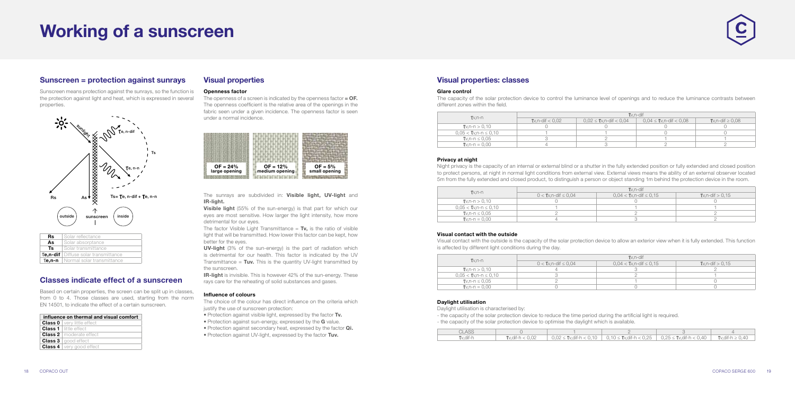## Working of a sunscreen

### Sunscreen = protection against sunrays

Sunscreen means protection against the sunrays, so the function is the protection against light and heat, which is expressed in several properties.



| Rs | Solar reflectance                          |
|----|--------------------------------------------|
| As | Solar absorptance                          |
| Ts | Solar transmittance                        |
|    | Te,n-dif   Diffuse solar transmittance     |
|    | <b>Te.n-n</b>   Normal solar transmittance |
|    |                                            |

### Classes indicate effect of a sunscreen

Based on certain properties, the screen can be split up in classes, from 0 to 4. Those classes are used, starting from the norm EN 14501, to indicate the effect of a certain sunscreen.

| influence on thermal and visual comfort |
|-----------------------------------------|
| <b>Class 0</b>   very little effect     |
| <b>Class 1</b> little effect            |
| <b>Class 2</b>   moderate effect        |
| <b>Class 3</b>   good effect            |
| <b>Class 4</b>   very good effect       |

### Visual properties: classes

### Glare control

The capacity of the solar protection device to control the luminance level of openings and to reduce the luminance contrasts between different zones within the field.

| $Tv.n-n$                     | $Tv.n$ -dif               |                                |                                 |                      |  |  |  |
|------------------------------|---------------------------|--------------------------------|---------------------------------|----------------------|--|--|--|
|                              | <b>T</b> v.n-dif $< 0.02$ | $0.02 \leq$ Tv, n-dif $< 0.04$ | $0.04 \leq U$ v, n-dif $< 0.08$ | Tv,n-dif $\geq 0.08$ |  |  |  |
| $Tw.n-n > 0.10$              |                           |                                |                                 |                      |  |  |  |
| $0.05 < U$ v,n-n $\leq 0.10$ |                           |                                |                                 |                      |  |  |  |
| Tv.n-n $\leq 0.05$           |                           |                                |                                 |                      |  |  |  |
| $Tv.n-n = 0.00$              |                           |                                |                                 |                      |  |  |  |

### Privacy at night

The openness of a screen is indicated by the openness factor  $=$  OF. The openness coefficient is the relative area of the openings in the fabric seen under a given incidence. The openness factor is seen under a normal incidence.

> Night privacy is the capacity of an internal or external blind or a shutter in the fully extended position or fully extended and closed position to protect persons, at night in normal light conditions from external view. External views means the ability of an external observer located 5m from the fully extended and closed product, to distinguish a person or object standing 1m behind the protection device in the room.

The sunrays are subdivided in: Visible light, UV-light and IR-light.

**Visible light** (55% of the sun-energy) is that part for which our eyes are most sensitive. How larger the light intensity, how more detrimental for our eyes.

The factor Visible Light Transmittance =  $Tv$ , is the ratio of visible light that will be transmitted. How lower this factor can be kept, how better for the eyes.

| $Tv.n-n$                     | $Tv.n$ -dif                 |                                |                      |  |  |  |  |
|------------------------------|-----------------------------|--------------------------------|----------------------|--|--|--|--|
|                              | $0 < T$ v,n-dif $\leq 0.04$ | $0,04 <$ Tv, n-dif $\leq 0,15$ | $Tv.n$ -dif $> 0.15$ |  |  |  |  |
| $Tv, n-n > 0, 10$            |                             |                                |                      |  |  |  |  |
| $0.05 < U$ v.n-n $\leq 0.10$ |                             |                                |                      |  |  |  |  |
| Tv.n-n $\leq 0.05$           |                             |                                |                      |  |  |  |  |
| $Tv.n-n = 0.00$              |                             |                                |                      |  |  |  |  |

**UV-light** (3% of the sun-energy) is the part of radiation which is detrimental for our health. This factor is indicated by the UV Transmittance =  $Tuv$ . This is the quantity UV-light transmitted by the sunscreen.

**IR-light** is invisible. This is however 42% of the sun-energy. These rays care for the reheating of solid substances and gases.

The choice of the colour has direct influence on the criteria which justify the use of sunscreen protection:

### Visual contact with the outside

- Protection against visible light, expressed by the factor Tv.
- Protection against sun-energy, expressed by the G value.
- Protection against secondary heat, expressed by the factor **Qi.**
- Protection against UV-light, expressed by the factor Tuv.

Visual contact with the outside is the capacity of the solar protection device to allow an exterior view when it is fully extended. This function is affected by different light conditions during the day.

| $Tv.n-n$                    |                             | $Tv.n$ -dif                    |                           |
|-----------------------------|-----------------------------|--------------------------------|---------------------------|
|                             | $0 < T$ v.n-dif $\leq 0.04$ | $0.04 < U$ v,n-dif $\leq 0.15$ | <b>T</b> v.n-dif $> 0.15$ |
| $Tv.n-n > 0.10$             |                             |                                |                           |
| $0.05 <$ Tv,n-n $\leq 0.10$ |                             |                                |                           |
| Tv,n-n $\leq 0.05$          |                             |                                |                           |
| $Tv.n-n = 0.00$             |                             |                                |                           |

### Daylight utilisation

Daylight utilisation is characterised by:

- the capacity of the solar protection device to reduce the time period during the artificial light is required. - the capacity of the solar protection device to optimise the daylight which is available.

| CLASS            |                           |  |                                                                                            |  |
|------------------|---------------------------|--|--------------------------------------------------------------------------------------------|--|
| <b>T</b> v.dif-h | <b>T</b> v.dif-h $< 0.02$ |  | 0.02 ≤ Tv.dif-h < 0.10   0.10 ≤ Tv.dif-h < 0.25   0.25 ≤ Tv.dif-h < 0.40   Tv.dif-h ≥ 0.40 |  |

### Visual properties

### Openness factor



### Influence of colours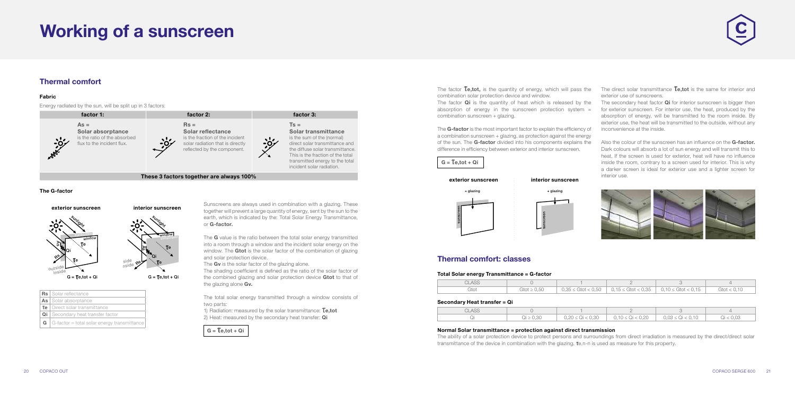### Thermal comfort

### Fabric

Energy radiated by the sun, will be split up in 3 factors:



### The G-factor

The **G** value is the ratio between the total solar energy transmitted into a room through a window and the incident solar energy on the window. The Gtot is the solar factor of the combination of glazing and solar protection device.

The **Gv** is the solar factor of the glazing alone.



The shading coefficient is defined as the ratio of the solar factor of the combined glazing and solar protection device Gtot to that of the glazing alone Gv.

| As Solar absorptance                                        |
|-------------------------------------------------------------|
| <b>Te</b>   Direct solar transmittance                      |
| <b>Qi</b> Secondary heat transfer factor                    |
| <b>G</b> $\mid$ G-factor = total solar energy transmittance |

The factor  $Te, tot$ , is the quantity of energy, which will pass the combination solar protection device and window.

The factor **Qi** is the quantity of heat which is released by the absorption of energy in the sunscreen protection system  $=$ combination sunscreen + glazing.

Sunscreens are always used in combination with a glazing. These together will prevent a large quantity of energy, sent by the sun to the earth, which is indicated by the: Total Solar Energy Transmittance, or G-factor.

The G-factor is the most important factor to explain the efficiency of a combination sunscreen + glazing, as protection against the energy of the sun. The **G-factor** divided into his components explains the difference in efficiency between exterior and interior sunscreen.

 $G = Te$ ,tot + Qi

The direct solar transmittance  $\mathsf{Te},\mathsf{tot}$  is the same for interior and exterior use of sunscreens.

The secondary heat factor **Qi** for interior sunscreen is bigger then for exterior sunscreen. For interior use, the heat, produced by the absorption of energy, will be transmitted to the room inside. By exterior use, the heat will be transmitted to the outside, without any inconvenience at the inside.

Also the colour of the sunscreen has an influence on the **G-factor.** Dark colours will absorb a lot of sun energy and will transmit this to heat. If the screen is used for exterior, heat will have no influence inside the room, contrary to a screen used for interior. This is why a darker screen is ideal for exterior use and a lighter screen for



The total solar energy transmitted through a window consists of two parts:

1) Radiation: measured by the solar transmittance:  $Te.tot$ 2) Heat: measured by the secondary heat transfer: Qi

> The ability of a solar protection device to protect persons and surroundings from direct irradiation is measured by the direct/direct solar transmittance of the device in combination with the glazing. Te,n-n is used as measure for this property.





interior use.

### Thermal comfort: classes

### Total Solar energy Transmittance = G-factor

| <b>CLASS</b> |                         |                          | <u>_</u>                                  |                          |                  |
|--------------|-------------------------|--------------------------|-------------------------------------------|--------------------------|------------------|
| Gtot         | $\text{Gtot} \geq 0.50$ | $0.35 \le$ Gtot $< 0.50$ | $\vert$ 0.15 $\leq$ Gtot $<$ 0.35 $\vert$ | $0.10 \le$ Gtot $< 0.15$ | $G$ tot $< 0.10$ |

### Secondary Heat transfer = Qi

| <b>CLASS</b> |                                     |                      | <u>_</u>             |                      |               |
|--------------|-------------------------------------|----------------------|----------------------|----------------------|---------------|
| ابحب         | $\bigcap_{i=1}^n$<br>$U \leq U, 3U$ | $0,20 \le Qi < 0,30$ | $0,10 \le Qi < 0,20$ | $0,03 \le Qi < 0,10$ | < 0.03<br>ایپ |

### Normal Solar transmittance = protection against direct transmission





sunscreen

## Working of a sunscreen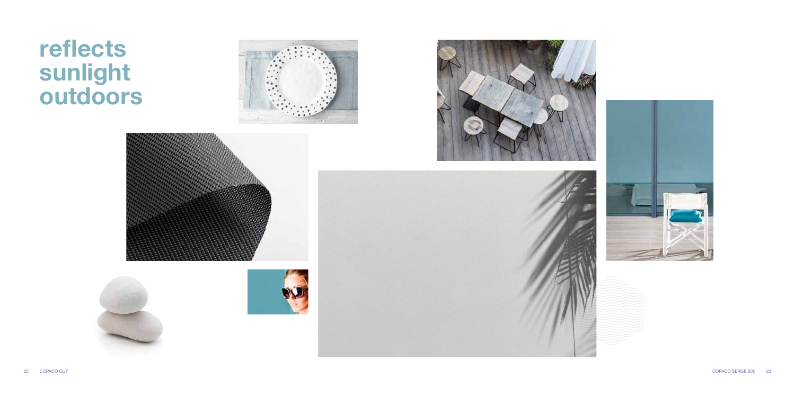# reflects sunlight outdoors